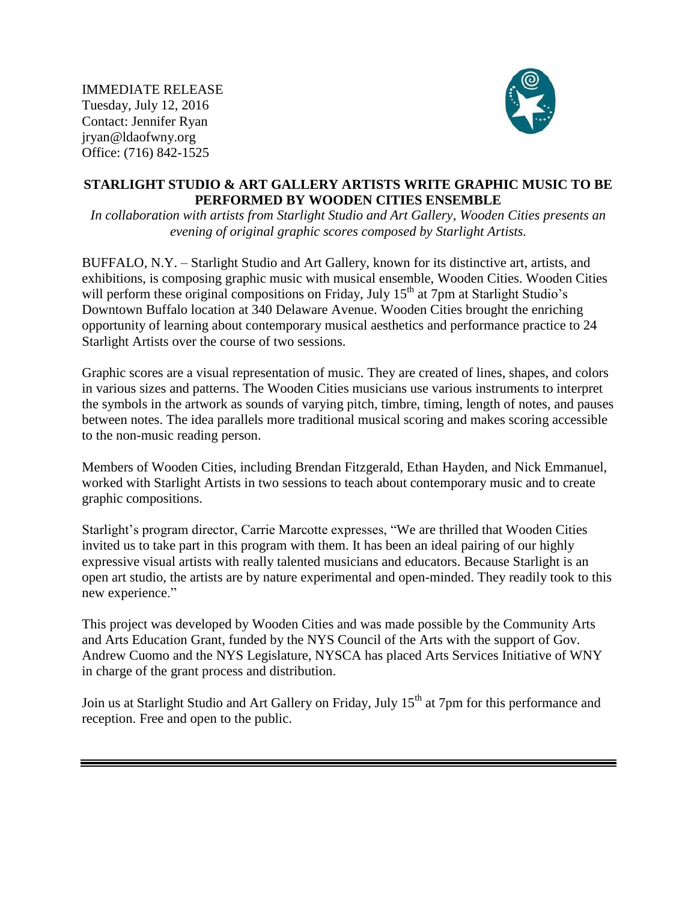IMMEDIATE RELEASE Tuesday, July 12, 2016 Contact: Jennifer Ryan jryan@ldaofwny.org Office: (716) 842-1525



## **STARLIGHT STUDIO & ART GALLERY ARTISTS WRITE GRAPHIC MUSIC TO BE PERFORMED BY WOODEN CITIES ENSEMBLE**

*In collaboration with artists from [Starlight Studio and Art Gallery,](https://www.facebook.com/SSAGBuffalo/) [Wooden Cities](https://www.facebook.com/Wooden-Cities-368188683195704/) presents an evening of original graphic scores composed by Starlight Artists.*

BUFFALO, N.Y. – Starlight Studio and Art Gallery, known for its distinctive art, artists, and exhibitions, is composing graphic music with musical ensemble, Wooden Cities. Wooden Cities will perform these original compositions on Friday, July 15<sup>th</sup> at 7pm at Starlight Studio's Downtown Buffalo location at 340 Delaware Avenue. Wooden Cities brought the enriching opportunity of learning about contemporary musical aesthetics and performance practice to 24 Starlight Artists over the course of two sessions.

Graphic scores are a visual representation of music. They are created of lines, shapes, and colors in various sizes and patterns. The Wooden Cities musicians use various instruments to interpret the symbols in the artwork as sounds of varying pitch, timbre, timing, length of notes, and pauses between notes. The idea parallels more traditional musical scoring and makes scoring accessible to the non-music reading person.

Members of Wooden Cities, including Brendan Fitzgerald, Ethan Hayden, and Nick Emmanuel, worked with Starlight Artists in two sessions to teach about contemporary music and to create graphic compositions.

Starlight's program director, Carrie Marcotte expresses, "We are thrilled that Wooden Cities invited us to take part in this program with them. It has been an ideal pairing of our highly expressive visual artists with really talented musicians and educators. Because Starlight is an open art studio, the artists are by nature experimental and open-minded. They readily took to this new experience."

This project was developed by Wooden Cities and was made possible by the Community Arts and Arts Education Grant, funded by the NYS Council of the Arts with the support of Gov. Andrew Cuomo and the NYS Legislature, NYSCA has placed Arts Services Initiative of WNY in charge of the grant process and distribution.

Join us at Starlight Studio and Art Gallery on Friday, July 15<sup>th</sup> at 7pm for this performance and reception. Free and open to the public.